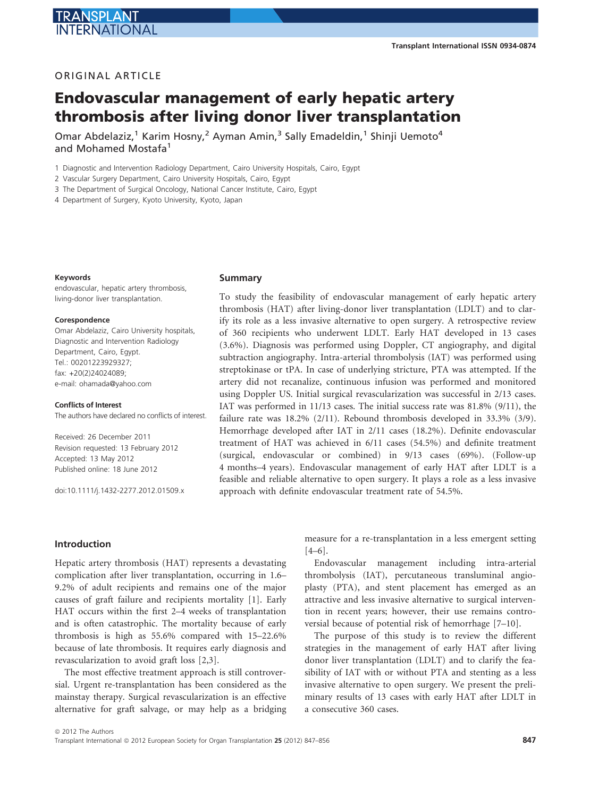# ORIGINAL ARTICLE

# Endovascular management of early hepatic artery thrombosis after living donor liver transplantation

Omar Abdelaziz,<sup>1</sup> Karim Hosny,<sup>2</sup> Ayman Amin,<sup>3</sup> Sally Emadeldin,<sup>1</sup> Shinji Uemoto<sup>4</sup> and Mohamed Mostafa<sup>1</sup>

1 Diagnostic and Intervention Radiology Department, Cairo University Hospitals, Cairo, Egypt

2 Vascular Surgery Department, Cairo University Hospitals, Cairo, Egypt

3 The Department of Surgical Oncology, National Cancer Institute, Cairo, Egypt

4 Department of Surgery, Kyoto University, Kyoto, Japan

#### Keywords

endovascular, hepatic artery thrombosis, living-donor liver transplantation.

#### Corespondence

Omar Abdelaziz, Cairo University hospitals, Diagnostic and Intervention Radiology Department, Cairo, Egypt. Tel.: 00201223929327; fax: +20(2)24024089; e-mail: ohamada@yahoo.com

#### Conflicts of Interest

The authors have declared no conflicts of interest.

Received: 26 December 2011 Revision requested: 13 February 2012 Accepted: 13 May 2012 Published online: 18 June 2012

doi:10.1111/j.1432-2277.2012.01509.x

#### Summary

To study the feasibility of endovascular management of early hepatic artery thrombosis (HAT) after living-donor liver transplantation (LDLT) and to clarify its role as a less invasive alternative to open surgery. A retrospective review of 360 recipients who underwent LDLT. Early HAT developed in 13 cases (3.6%). Diagnosis was performed using Doppler, CT angiography, and digital subtraction angiography. Intra-arterial thrombolysis (IAT) was performed using streptokinase or tPA. In case of underlying stricture, PTA was attempted. If the artery did not recanalize, continuous infusion was performed and monitored using Doppler US. Initial surgical revascularization was successful in 2/13 cases. IAT was performed in 11/13 cases. The initial success rate was 81.8% (9/11), the failure rate was 18.2% (2/11). Rebound thrombosis developed in 33.3% (3/9). Hemorrhage developed after IAT in 2/11 cases (18.2%). Definite endovascular treatment of HAT was achieved in 6/11 cases (54.5%) and definite treatment (surgical, endovascular or combined) in 9/13 cases (69%). (Follow-up 4 months–4 years). Endovascular management of early HAT after LDLT is a feasible and reliable alternative to open surgery. It plays a role as a less invasive approach with definite endovascular treatment rate of 54.5%.

#### Introduction

Hepatic artery thrombosis (HAT) represents a devastating complication after liver transplantation, occurring in 1.6– 9.2% of adult recipients and remains one of the major causes of graft failure and recipients mortality [1]. Early HAT occurs within the first 2–4 weeks of transplantation and is often catastrophic. The mortality because of early thrombosis is high as 55.6% compared with 15–22.6% because of late thrombosis. It requires early diagnosis and revascularization to avoid graft loss [2,3].

The most effective treatment approach is still controversial. Urgent re-transplantation has been considered as the mainstay therapy. Surgical revascularization is an effective alternative for graft salvage, or may help as a bridging measure for a re-transplantation in a less emergent setting [4–6].

Endovascular management including intra-arterial thrombolysis (IAT), percutaneous transluminal angioplasty (PTA), and stent placement has emerged as an attractive and less invasive alternative to surgical intervention in recent years; however, their use remains controversial because of potential risk of hemorrhage [7–10].

The purpose of this study is to review the different strategies in the management of early HAT after living donor liver transplantation (LDLT) and to clarify the feasibility of IAT with or without PTA and stenting as a less invasive alternative to open surgery. We present the preliminary results of 13 cases with early HAT after LDLT in a consecutive 360 cases.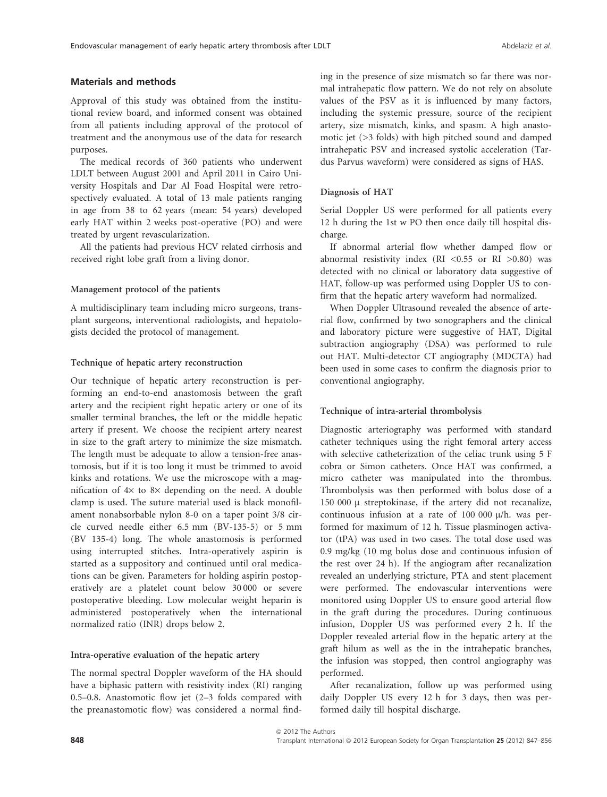# Materials and methods

Approval of this study was obtained from the institutional review board, and informed consent was obtained from all patients including approval of the protocol of treatment and the anonymous use of the data for research purposes.

The medical records of 360 patients who underwent LDLT between August 2001 and April 2011 in Cairo University Hospitals and Dar Al Foad Hospital were retrospectively evaluated. A total of 13 male patients ranging in age from 38 to 62 years (mean: 54 years) developed early HAT within 2 weeks post-operative (PO) and were treated by urgent revascularization.

All the patients had previous HCV related cirrhosis and received right lobe graft from a living donor.

#### Management protocol of the patients

A multidisciplinary team including micro surgeons, transplant surgeons, interventional radiologists, and hepatologists decided the protocol of management.

#### Technique of hepatic artery reconstruction

Our technique of hepatic artery reconstruction is performing an end-to-end anastomosis between the graft artery and the recipient right hepatic artery or one of its smaller terminal branches, the left or the middle hepatic artery if present. We choose the recipient artery nearest in size to the graft artery to minimize the size mismatch. The length must be adequate to allow a tension-free anastomosis, but if it is too long it must be trimmed to avoid kinks and rotations. We use the microscope with a magnification of  $4\times$  to  $8\times$  depending on the need. A double clamp is used. The suture material used is black monofilament nonabsorbable nylon 8-0 on a taper point 3/8 circle curved needle either 6.5 mm (BV-135-5) or 5 mm (BV 135-4) long. The whole anastomosis is performed using interrupted stitches. Intra-operatively aspirin is started as a suppository and continued until oral medications can be given. Parameters for holding aspirin postoperatively are a platelet count below 30 000 or severe postoperative bleeding. Low molecular weight heparin is administered postoperatively when the international normalized ratio (INR) drops below 2.

#### Intra-operative evaluation of the hepatic artery

The normal spectral Doppler waveform of the HA should have a biphasic pattern with resistivity index (RI) ranging 0.5–0.8. Anastomotic flow jet (2–3 folds compared with the preanastomotic flow) was considered a normal finding in the presence of size mismatch so far there was normal intrahepatic flow pattern. We do not rely on absolute values of the PSV as it is influenced by many factors, including the systemic pressure, source of the recipient artery, size mismatch, kinks, and spasm. A high anastomotic jet (>3 folds) with high pitched sound and damped intrahepatic PSV and increased systolic acceleration (Tardus Parvus waveform) were considered as signs of HAS.

#### Diagnosis of HAT

Serial Doppler US were performed for all patients every 12 h during the 1st w PO then once daily till hospital discharge.

If abnormal arterial flow whether damped flow or abnormal resistivity index (RI <0.55 or RI >0.80) was detected with no clinical or laboratory data suggestive of HAT, follow-up was performed using Doppler US to confirm that the hepatic artery waveform had normalized.

When Doppler Ultrasound revealed the absence of arterial flow, confirmed by two sonographers and the clinical and laboratory picture were suggestive of HAT, Digital subtraction angiography (DSA) was performed to rule out HAT. Multi-detector CT angiography (MDCTA) had been used in some cases to confirm the diagnosis prior to conventional angiography.

#### Technique of intra-arterial thrombolysis

Diagnostic arteriography was performed with standard catheter techniques using the right femoral artery access with selective catheterization of the celiac trunk using 5 F cobra or Simon catheters. Once HAT was confirmed, a micro catheter was manipulated into the thrombus. Thrombolysis was then performed with bolus dose of a 150 000  $\mu$  streptokinase, if the artery did not recanalize, continuous infusion at a rate of  $100\,000\,\mu/h$ . was performed for maximum of 12 h. Tissue plasminogen activator (tPA) was used in two cases. The total dose used was 0.9 mg/kg (10 mg bolus dose and continuous infusion of the rest over 24 h). If the angiogram after recanalization revealed an underlying stricture, PTA and stent placement were performed. The endovascular interventions were monitored using Doppler US to ensure good arterial flow in the graft during the procedures. During continuous infusion, Doppler US was performed every 2 h. If the Doppler revealed arterial flow in the hepatic artery at the graft hilum as well as the in the intrahepatic branches, the infusion was stopped, then control angiography was performed.

After recanalization, follow up was performed using daily Doppler US every 12 h for 3 days, then was performed daily till hospital discharge.

ª 2012 The Authors 848 Transplant International @ 2012 European Society for Organ Transplantation 25 (2012) 847-856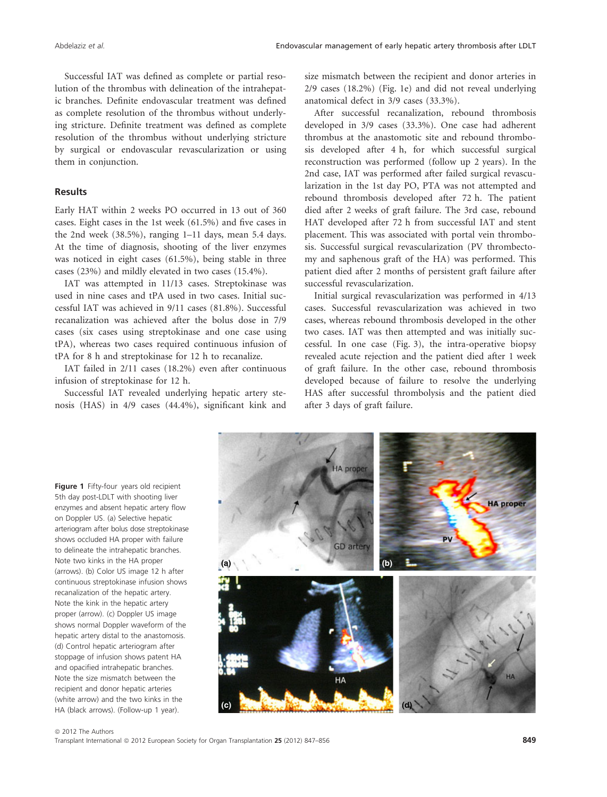Successful IAT was defined as complete or partial resolution of the thrombus with delineation of the intrahepatic branches. Definite endovascular treatment was defined as complete resolution of the thrombus without underlying stricture. Definite treatment was defined as complete resolution of the thrombus without underlying stricture by surgical or endovascular revascularization or using them in conjunction.

#### Results

Early HAT within 2 weeks PO occurred in 13 out of 360 cases. Eight cases in the 1st week (61.5%) and five cases in the 2nd week (38.5%), ranging 1–11 days, mean 5.4 days. At the time of diagnosis, shooting of the liver enzymes was noticed in eight cases (61.5%), being stable in three cases (23%) and mildly elevated in two cases (15.4%).

IAT was attempted in 11/13 cases. Streptokinase was used in nine cases and tPA used in two cases. Initial successful IAT was achieved in 9/11 cases (81.8%). Successful recanalization was achieved after the bolus dose in 7/9 cases (six cases using streptokinase and one case using tPA), whereas two cases required continuous infusion of tPA for 8 h and streptokinase for 12 h to recanalize.

IAT failed in 2/11 cases (18.2%) even after continuous infusion of streptokinase for 12 h.

Successful IAT revealed underlying hepatic artery stenosis (HAS) in 4/9 cases (44.4%), significant kink and size mismatch between the recipient and donor arteries in 2/9 cases (18.2%) (Fig. 1e) and did not reveal underlying anatomical defect in 3/9 cases (33.3%).

After successful recanalization, rebound thrombosis developed in 3/9 cases (33.3%). One case had adherent thrombus at the anastomotic site and rebound thrombosis developed after 4 h, for which successful surgical reconstruction was performed (follow up 2 years). In the 2nd case, IAT was performed after failed surgical revascularization in the 1st day PO, PTA was not attempted and rebound thrombosis developed after 72 h. The patient died after 2 weeks of graft failure. The 3rd case, rebound HAT developed after 72 h from successful IAT and stent placement. This was associated with portal vein thrombosis. Successful surgical revascularization (PV thrombectomy and saphenous graft of the HA) was performed. This patient died after 2 months of persistent graft failure after successful revascularization.

Initial surgical revascularization was performed in 4/13 cases. Successful revascularization was achieved in two cases, whereas rebound thrombosis developed in the other two cases. IAT was then attempted and was initially successful. In one case (Fig. 3), the intra-operative biopsy revealed acute rejection and the patient died after 1 week of graft failure. In the other case, rebound thrombosis developed because of failure to resolve the underlying HAS after successful thrombolysis and the patient died after 3 days of graft failure.



5th day post-LDLT with shooting liver enzymes and absent hepatic artery flow on Doppler US. (a) Selective hepatic arteriogram after bolus dose streptokinase shows occluded HA proper with failure to delineate the intrahepatic branches. Note two kinks in the HA proper (arrows). (b) Color US image 12 h after continuous streptokinase infusion shows recanalization of the hepatic artery. Note the kink in the hepatic artery proper (arrow). (c) Doppler US image shows normal Doppler waveform of the hepatic artery distal to the anastomosis. (d) Control hepatic arteriogram after stoppage of infusion shows patent HA and opacified intrahepatic branches. Note the size mismatch between the recipient and donor hepatic arteries (white arrow) and the two kinks in the HA (black arrows). (Follow-up 1 year).

Figure 1 Fifty-four years old recipient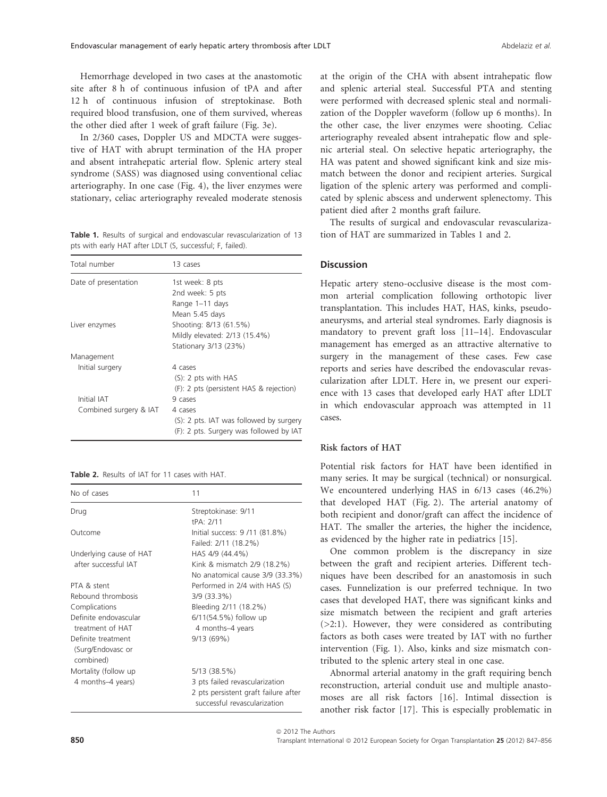Hemorrhage developed in two cases at the anastomotic site after 8 h of continuous infusion of tPA and after 12 h of continuous infusion of streptokinase. Both required blood transfusion, one of them survived, whereas the other died after 1 week of graft failure (Fig. 3e).

In 2/360 cases, Doppler US and MDCTA were suggestive of HAT with abrupt termination of the HA proper and absent intrahepatic arterial flow. Splenic artery steal syndrome (SASS) was diagnosed using conventional celiac arteriography. In one case (Fig. 4), the liver enzymes were stationary, celiac arteriography revealed moderate stenosis

Table 1. Results of surgical and endovascular revascularization of 13 pts with early HAT after LDLT (S, successful; F, failed).

| Total number           | 13 cases                                |
|------------------------|-----------------------------------------|
| Date of presentation   | 1st week: 8 pts                         |
|                        | 2nd week: 5 pts                         |
|                        | Range 1-11 days                         |
|                        | Mean 5.45 days                          |
| Liver enzymes          | Shooting: 8/13 (61.5%)                  |
|                        | Mildly elevated: 2/13 (15.4%)           |
|                        | Stationary 3/13 (23%)                   |
| Management             |                                         |
| Initial surgery        | 4 cases                                 |
|                        | $(S)$ : 2 pts with HAS                  |
|                        | (F): 2 pts (persistent HAS & rejection) |
| Initial IAT            | 9 cases                                 |
| Combined surgery & IAT | 4 cases                                 |
|                        | (S): 2 pts. IAT was followed by surgery |
|                        | (F): 2 pts. Surgery was followed by IAT |

Table 2. Results of IAT for 11 cases with HAT.

| No of cases                                          | 11                                                                   |
|------------------------------------------------------|----------------------------------------------------------------------|
| Drug                                                 | Streptokinase: 9/11<br>$tPA.$ $7/11$                                 |
| Outcome                                              | Initial success: 9/11 (81.8%)<br>Failed: 2/11 (18.2%)                |
| Underlying cause of HAT                              | HAS 4/9 (44.4%)                                                      |
| after successful IAT                                 | Kink & mismatch 2/9 (18.2%)<br>No anatomical cause 3/9 (33.3%)       |
| PTA & stent                                          | Performed in 2/4 with HAS (S)                                        |
| Rebound thrombosis                                   | $3/9$ (33.3%)                                                        |
| Complications                                        | Bleeding 2/11 (18.2%)                                                |
| Definite endovascular<br>treatment of HAT            | 6/11(54.5%) follow up<br>4 months-4 years                            |
| Definite treatment<br>(Surg/Endovasc or<br>combined) | 9/13(69%)                                                            |
| Mortality (follow up                                 | 5/13 (38.5%)                                                         |
| 4 months-4 years)                                    | 3 pts failed revascularization                                       |
|                                                      | 2 pts persistent graft failure after<br>successful revascularization |

at the origin of the CHA with absent intrahepatic flow and splenic arterial steal. Successful PTA and stenting were performed with decreased splenic steal and normalization of the Doppler waveform (follow up 6 months). In the other case, the liver enzymes were shooting. Celiac arteriography revealed absent intrahepatic flow and splenic arterial steal. On selective hepatic arteriography, the HA was patent and showed significant kink and size mismatch between the donor and recipient arteries. Surgical ligation of the splenic artery was performed and complicated by splenic abscess and underwent splenectomy. This patient died after 2 months graft failure.

The results of surgical and endovascular revascularization of HAT are summarized in Tables 1 and 2.

#### **Discussion**

Hepatic artery steno-occlusive disease is the most common arterial complication following orthotopic liver transplantation. This includes HAT, HAS, kinks, pseudoaneurysms, and arterial steal syndromes. Early diagnosis is mandatory to prevent graft loss [11–14]. Endovascular management has emerged as an attractive alternative to surgery in the management of these cases. Few case reports and series have described the endovascular revascularization after LDLT. Here in, we present our experience with 13 cases that developed early HAT after LDLT in which endovascular approach was attempted in 11 cases.

# Risk factors of HAT

Potential risk factors for HAT have been identified in many series. It may be surgical (technical) or nonsurgical. We encountered underlying HAS in 6/13 cases (46.2%) that developed HAT (Fig. 2). The arterial anatomy of both recipient and donor/graft can affect the incidence of HAT. The smaller the arteries, the higher the incidence, as evidenced by the higher rate in pediatrics [15].

One common problem is the discrepancy in size between the graft and recipient arteries. Different techniques have been described for an anastomosis in such cases. Funnelization is our preferred technique. In two cases that developed HAT, there was significant kinks and size mismatch between the recipient and graft arteries  $(>2:1)$ . However, they were considered as contributing factors as both cases were treated by IAT with no further intervention (Fig. 1). Also, kinks and size mismatch contributed to the splenic artery steal in one case.

Abnormal arterial anatomy in the graft requiring bench reconstruction, arterial conduit use and multiple anastomoses are all risk factors [16]. Intimal dissection is another risk factor [17]. This is especially problematic in

ª 2012 The Authors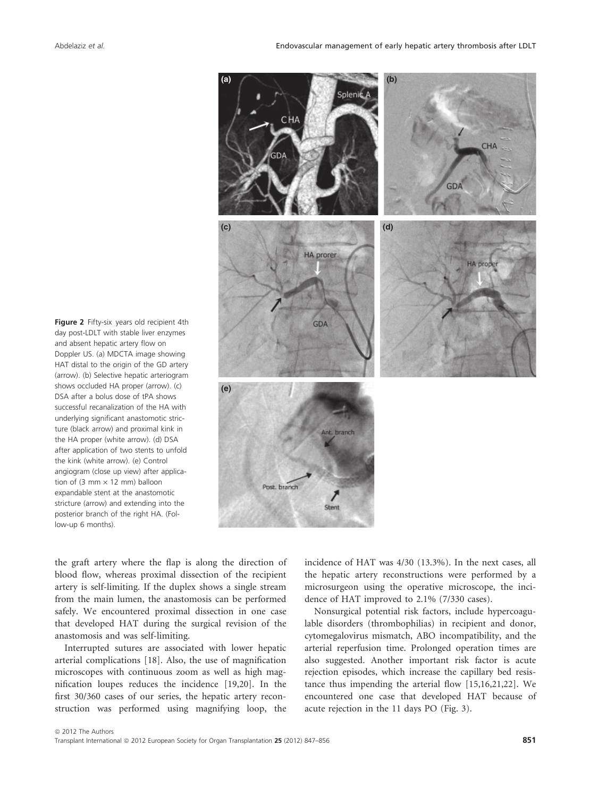Figure 2 Fifty-six years old recipient 4th day post-LDLT with stable liver enzymes and absent hepatic artery flow on Doppler US. (a) MDCTA image showing HAT distal to the origin of the GD artery (arrow). (b) Selective hepatic arteriogram shows occluded HA proper (arrow). (c) DSA after a bolus dose of tPA shows successful recanalization of the HA with underlying significant anastomotic stricture (black arrow) and proximal kink in the HA proper (white arrow). (d) DSA after application of two stents to unfold the kink (white arrow). (e) Control angiogram (close up view) after application of (3 mm  $\times$  12 mm) balloon expandable stent at the anastomotic stricture (arrow) and extending into the posterior branch of the right HA. (Follow-up 6 months).



the graft artery where the flap is along the direction of blood flow, whereas proximal dissection of the recipient artery is self-limiting. If the duplex shows a single stream from the main lumen, the anastomosis can be performed safely. We encountered proximal dissection in one case that developed HAT during the surgical revision of the anastomosis and was self-limiting.

Interrupted sutures are associated with lower hepatic arterial complications [18]. Also, the use of magnification microscopes with continuous zoom as well as high magnification loupes reduces the incidence [19,20]. In the first 30/360 cases of our series, the hepatic artery reconstruction was performed using magnifying loop, the incidence of HAT was 4/30 (13.3%). In the next cases, all the hepatic artery reconstructions were performed by a microsurgeon using the operative microscope, the incidence of HAT improved to 2.1% (7/330 cases).

Nonsurgical potential risk factors, include hypercoagulable disorders (thrombophilias) in recipient and donor, cytomegalovirus mismatch, ABO incompatibility, and the arterial reperfusion time. Prolonged operation times are also suggested. Another important risk factor is acute rejection episodes, which increase the capillary bed resistance thus impending the arterial flow [15,16,21,22]. We encountered one case that developed HAT because of acute rejection in the 11 days PO (Fig. 3).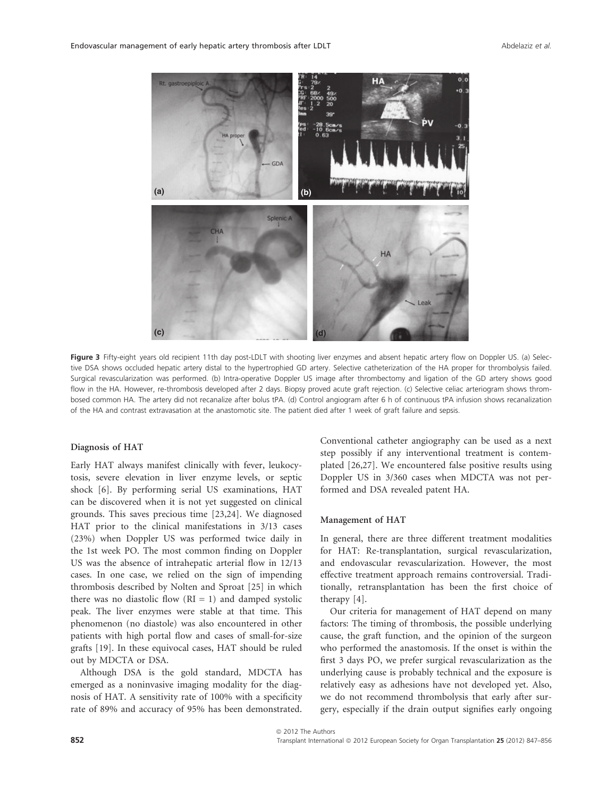

Figure 3 Fifty-eight years old recipient 11th day post-LDLT with shooting liver enzymes and absent hepatic artery flow on Doppler US. (a) Selective DSA shows occluded hepatic artery distal to the hypertrophied GD artery. Selective catheterization of the HA proper for thrombolysis failed. Surgical revascularization was performed. (b) Intra-operative Doppler US image after thrombectomy and ligation of the GD artery shows good flow in the HA. However, re-thrombosis developed after 2 days. Biopsy proved acute graft rejection. (c) Selective celiac arteriogram shows thrombosed common HA. The artery did not recanalize after bolus tPA. (d) Control angiogram after 6 h of continuous tPA infusion shows recanalization of the HA and contrast extravasation at the anastomotic site. The patient died after 1 week of graft failure and sepsis.

#### Diagnosis of HAT

Early HAT always manifest clinically with fever, leukocytosis, severe elevation in liver enzyme levels, or septic shock [6]. By performing serial US examinations, HAT can be discovered when it is not yet suggested on clinical grounds. This saves precious time [23,24]. We diagnosed HAT prior to the clinical manifestations in 3/13 cases (23%) when Doppler US was performed twice daily in the 1st week PO. The most common finding on Doppler US was the absence of intrahepatic arterial flow in 12/13 cases. In one case, we relied on the sign of impending thrombosis described by Nolten and Sproat [25] in which there was no diastolic flow  $(RI = 1)$  and damped systolic peak. The liver enzymes were stable at that time. This phenomenon (no diastole) was also encountered in other patients with high portal flow and cases of small-for-size grafts [19]. In these equivocal cases, HAT should be ruled out by MDCTA or DSA.

Although DSA is the gold standard, MDCTA has emerged as a noninvasive imaging modality for the diagnosis of HAT. A sensitivity rate of 100% with a specificity rate of 89% and accuracy of 95% has been demonstrated.

Conventional catheter angiography can be used as a next step possibly if any interventional treatment is contemplated [26,27]. We encountered false positive results using Doppler US in 3/360 cases when MDCTA was not performed and DSA revealed patent HA.

#### Management of HAT

In general, there are three different treatment modalities for HAT: Re-transplantation, surgical revascularization, and endovascular revascularization. However, the most effective treatment approach remains controversial. Traditionally, retransplantation has been the first choice of therapy [4].

Our criteria for management of HAT depend on many factors: The timing of thrombosis, the possible underlying cause, the graft function, and the opinion of the surgeon who performed the anastomosis. If the onset is within the first 3 days PO, we prefer surgical revascularization as the underlying cause is probably technical and the exposure is relatively easy as adhesions have not developed yet. Also, we do not recommend thrombolysis that early after surgery, especially if the drain output signifies early ongoing

ª 2012 The Authors 852 Transplant International @ 2012 European Society for Organ Transplantation 25 (2012) 847-856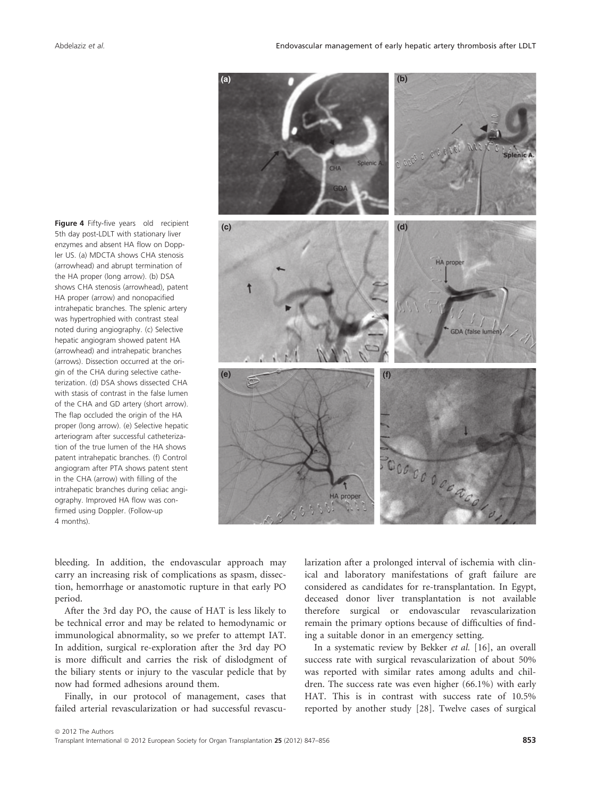5th day post-LDLT with stationary liver enzymes and absent HA flow on Doppler US. (a) MDCTA shows CHA stenosis (arrowhead) and abrupt termination of the HA proper (long arrow). (b) DSA shows CHA stenosis (arrowhead), patent HA proper (arrow) and nonopacified intrahepatic branches. The splenic artery was hypertrophied with contrast steal noted during angiography. (c) Selective hepatic angiogram showed patent HA (arrowhead) and intrahepatic branches (arrows). Dissection occurred at the origin of the CHA during selective catheterization. (d) DSA shows dissected CHA with stasis of contrast in the false lumen of the CHA and GD artery (short arrow). The flap occluded the origin of the HA proper (long arrow). (e) Selective hepatic arteriogram after successful catheterization of the true lumen of the HA shows patent intrahepatic branches. (f) Control angiogram after PTA shows patent stent in the CHA (arrow) with filling of the intrahepatic branches during celiac angiography. Improved HA flow was confirmed using Doppler. (Follow-up 4 months).



bleeding. In addition, the endovascular approach may carry an increasing risk of complications as spasm, dissection, hemorrhage or anastomotic rupture in that early PO period.

After the 3rd day PO, the cause of HAT is less likely to be technical error and may be related to hemodynamic or immunological abnormality, so we prefer to attempt IAT. In addition, surgical re-exploration after the 3rd day PO is more difficult and carries the risk of dislodgment of the biliary stents or injury to the vascular pedicle that by now had formed adhesions around them.

Finally, in our protocol of management, cases that failed arterial revascularization or had successful revascularization after a prolonged interval of ischemia with clinical and laboratory manifestations of graft failure are considered as candidates for re-transplantation. In Egypt, deceased donor liver transplantation is not available therefore surgical or endovascular revascularization remain the primary options because of difficulties of finding a suitable donor in an emergency setting.

In a systematic review by Bekker et al. [16], an overall success rate with surgical revascularization of about 50% was reported with similar rates among adults and children. The success rate was even higher (66.1%) with early HAT. This is in contrast with success rate of 10.5% reported by another study [28]. Twelve cases of surgical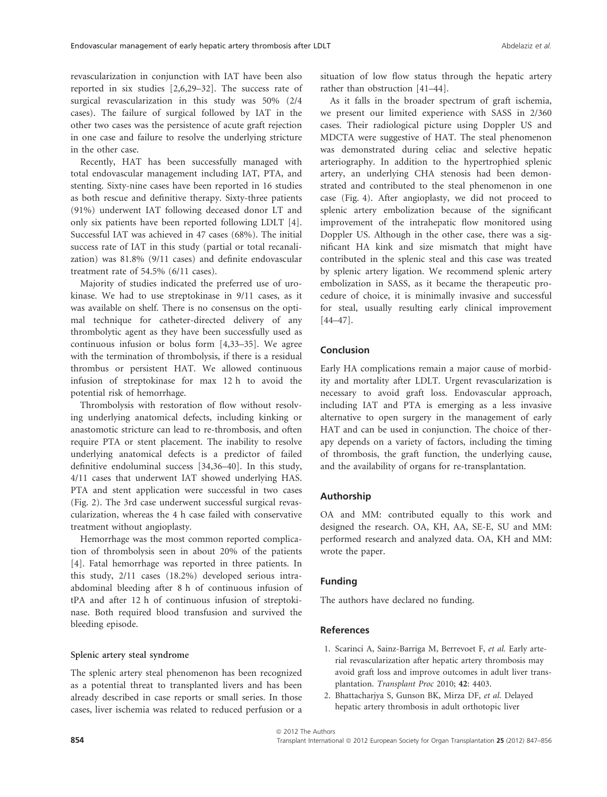revascularization in conjunction with IAT have been also reported in six studies [2,6,29–32]. The success rate of surgical revascularization in this study was 50% (2/4 cases). The failure of surgical followed by IAT in the other two cases was the persistence of acute graft rejection in one case and failure to resolve the underlying stricture in the other case.

Recently, HAT has been successfully managed with total endovascular management including IAT, PTA, and stenting. Sixty-nine cases have been reported in 16 studies as both rescue and definitive therapy. Sixty-three patients (91%) underwent IAT following deceased donor LT and only six patients have been reported following LDLT [4]. Successful IAT was achieved in 47 cases (68%). The initial success rate of IAT in this study (partial or total recanalization) was 81.8% (9/11 cases) and definite endovascular treatment rate of 54.5% (6/11 cases).

Majority of studies indicated the preferred use of urokinase. We had to use streptokinase in 9/11 cases, as it was available on shelf. There is no consensus on the optimal technique for catheter-directed delivery of any thrombolytic agent as they have been successfully used as continuous infusion or bolus form [4,33–35]. We agree with the termination of thrombolysis, if there is a residual thrombus or persistent HAT. We allowed continuous infusion of streptokinase for max 12 h to avoid the potential risk of hemorrhage.

Thrombolysis with restoration of flow without resolving underlying anatomical defects, including kinking or anastomotic stricture can lead to re-thrombosis, and often require PTA or stent placement. The inability to resolve underlying anatomical defects is a predictor of failed definitive endoluminal success [34,36–40]. In this study, 4/11 cases that underwent IAT showed underlying HAS. PTA and stent application were successful in two cases (Fig. 2). The 3rd case underwent successful surgical revascularization, whereas the 4 h case failed with conservative treatment without angioplasty.

Hemorrhage was the most common reported complication of thrombolysis seen in about 20% of the patients [4]. Fatal hemorrhage was reported in three patients. In this study, 2/11 cases (18.2%) developed serious intraabdominal bleeding after 8 h of continuous infusion of tPA and after 12 h of continuous infusion of streptokinase. Both required blood transfusion and survived the bleeding episode.

#### Splenic artery steal syndrome

The splenic artery steal phenomenon has been recognized as a potential threat to transplanted livers and has been already described in case reports or small series. In those cases, liver ischemia was related to reduced perfusion or a situation of low flow status through the hepatic artery rather than obstruction [41–44].

As it falls in the broader spectrum of graft ischemia, we present our limited experience with SASS in 2/360 cases. Their radiological picture using Doppler US and MDCTA were suggestive of HAT. The steal phenomenon was demonstrated during celiac and selective hepatic arteriography. In addition to the hypertrophied splenic artery, an underlying CHA stenosis had been demonstrated and contributed to the steal phenomenon in one case (Fig. 4). After angioplasty, we did not proceed to splenic artery embolization because of the significant improvement of the intrahepatic flow monitored using Doppler US. Although in the other case, there was a significant HA kink and size mismatch that might have contributed in the splenic steal and this case was treated by splenic artery ligation. We recommend splenic artery embolization in SASS, as it became the therapeutic procedure of choice, it is minimally invasive and successful for steal, usually resulting early clinical improvement [44–47].

### Conclusion

Early HA complications remain a major cause of morbidity and mortality after LDLT. Urgent revascularization is necessary to avoid graft loss. Endovascular approach, including IAT and PTA is emerging as a less invasive alternative to open surgery in the management of early HAT and can be used in conjunction. The choice of therapy depends on a variety of factors, including the timing of thrombosis, the graft function, the underlying cause, and the availability of organs for re-transplantation.

# Authorship

OA and MM: contributed equally to this work and designed the research. OA, KH, AA, SE-E, SU and MM: performed research and analyzed data. OA, KH and MM: wrote the paper.

# Funding

The authors have declared no funding.

# References

- 1. Scarinci A, Sainz-Barriga M, Berrevoet F, et al. Early arterial revascularization after hepatic artery thrombosis may avoid graft loss and improve outcomes in adult liver transplantation. Transplant Proc 2010; 42: 4403.
- 2. Bhattacharjya S, Gunson BK, Mirza DF, et al. Delayed hepatic artery thrombosis in adult orthotopic liver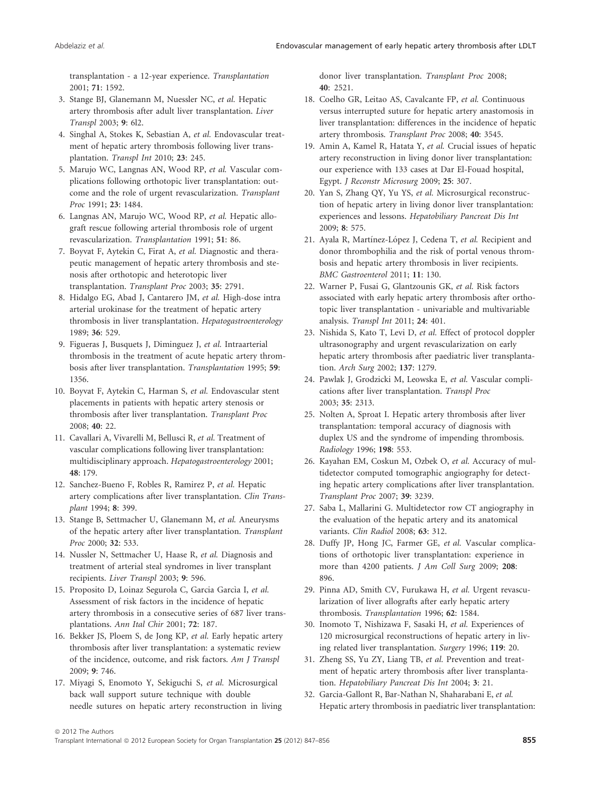transplantation - a 12-year experience. Transplantation 2001; 71: 1592.

- 3. Stange BJ, Glanemann M, Nuessler NC, et al. Hepatic artery thrombosis after adult liver transplantation. Liver Transpl 2003; 9: 6l2.
- 4. Singhal A, Stokes K, Sebastian A, et al. Endovascular treatment of hepatic artery thrombosis following liver transplantation. Transpl Int 2010; 23: 245.
- 5. Marujo WC, Langnas AN, Wood RP, et al. Vascular complications following orthotopic liver transplantation: outcome and the role of urgent revascularization. Transplant Proc 1991; 23: 1484.
- 6. Langnas AN, Marujo WC, Wood RP, et al. Hepatic allograft rescue following arterial thrombosis role of urgent revascularization. Transplantation 1991; 51: 86.
- 7. Boyvat F, Aytekin C, Firat A, et al. Diagnostic and therapeutic management of hepatic artery thrombosis and stenosis after orthotopic and heterotopic liver transplantation. Transplant Proc 2003; 35: 2791.
- 8. Hidalgo EG, Abad J, Cantarero JM, et al. High-dose intra arterial urokinase for the treatment of hepatic artery thrombosis in liver transplantation. Hepatogastroenterology 1989; 36: 529.
- 9. Figueras J, Busquets J, Diminguez J, et al. Intraarterial thrombosis in the treatment of acute hepatic artery thrombosis after liver transplantation. Transplantation 1995; 59: 1356.
- 10. Boyvat F, Aytekin C, Harman S, et al. Endovascular stent placements in patients with hepatic artery stenosis or thrombosis after liver transplantation. Transplant Proc 2008; 40: 22.
- 11. Cavallari A, Vivarelli M, Bellusci R, et al. Treatment of vascular complications following liver transplantation: multidisciplinary approach. Hepatogastroenterology 2001; 48: 179.
- 12. Sanchez-Bueno F, Robles R, Ramirez P, et al. Hepatic artery complications after liver transplantation. Clin Transplant 1994; 8: 399.
- 13. Stange B, Settmacher U, Glanemann M, et al. Aneurysms of the hepatic artery after liver transplantation. Transplant Proc 2000; 32: 533.
- 14. Nussler N, Settmacher U, Haase R, et al. Diagnosis and treatment of arterial steal syndromes in liver transplant recipients. Liver Transpl 2003; 9: 596.
- 15. Proposito D, Loinaz Segurola C, Garcia Garcìa I, et al. Assessment of risk factors in the incidence of hepatic artery thrombosis in a consecutive series of 687 liver transplantations. Ann Ital Chir 2001; 72: 187.
- 16. Bekker JS, Ploem S, de Jong KP, et al. Early hepatic artery thrombosis after liver transplantation: a systematic review of the incidence, outcome, and risk factors. Am J Transpl 2009; 9: 746.
- 17. Miyagi S, Enomoto Y, Sekiguchi S, et al. Microsurgical back wall support suture technique with double needle sutures on hepatic artery reconstruction in living

donor liver transplantation. Transplant Proc 2008; 40: 2521.

- 18. Coelho GR, Leitao AS, Cavalcante FP, et al. Continuous versus interrupted suture for hepatic artery anastomosis in liver transplantation: differences in the incidence of hepatic artery thrombosis. Transplant Proc 2008; 40: 3545.
- 19. Amin A, Kamel R, Hatata Y, et al. Crucial issues of hepatic artery reconstruction in living donor liver transplantation: our experience with 133 cases at Dar El-Fouad hospital, Egypt. J Reconstr Microsurg 2009; 25: 307.
- 20. Yan S, Zhang QY, Yu YS, et al. Microsurgical reconstruction of hepatic artery in living donor liver transplantation: experiences and lessons. Hepatobiliary Pancreat Dis Int 2009; 8: 575.
- 21. Ayala R, Martínez-López J, Cedena T, et al. Recipient and donor thrombophilia and the risk of portal venous thrombosis and hepatic artery thrombosis in liver recipients. BMC Gastroenterol 2011; 11: 130.
- 22. Warner P, Fusai G, Glantzounis GK, et al. Risk factors associated with early hepatic artery thrombosis after orthotopic liver transplantation - univariable and multivariable analysis. Transpl Int 2011; 24: 401.
- 23. Nishida S, Kato T, Levi D, et al. Effect of protocol doppler ultrasonography and urgent revascularization on early hepatic artery thrombosis after paediatric liver transplantation. Arch Surg 2002; 137: 1279.
- 24. Pawlak J, Grodzicki M, Leowska E, et al. Vascular complications after liver transplantation. Transpl Proc 2003; 35: 2313.
- 25. Nolten A, Sproat I. Hepatic artery thrombosis after liver transplantation: temporal accuracy of diagnosis with duplex US and the syndrome of impending thrombosis. Radiology 1996; 198: 553.
- 26. Kayahan EM, Coskun M, Ozbek O, et al. Accuracy of multidetector computed tomographic angiography for detecting hepatic artery complications after liver transplantation. Transplant Proc 2007; 39: 3239.
- 27. Saba L, Mallarini G. Multidetector row CT angiography in the evaluation of the hepatic artery and its anatomical variants. Clin Radiol 2008; 63: 312.
- 28. Duffy JP, Hong JC, Farmer GE, et al. Vascular complications of orthotopic liver transplantation: experience in more than 4200 patients. J Am Coll Surg 2009; 208: 896.
- 29. Pinna AD, Smith CV, Furukawa H, et al. Urgent revascularization of liver allografts after early hepatic artery thrombosis. Transplantation 1996; 62: 1584.
- 30. Inomoto T, Nishizawa F, Sasaki H, et al. Experiences of 120 microsurgical reconstructions of hepatic artery in living related liver transplantation. Surgery 1996; 119: 20.
- 31. Zheng SS, Yu ZY, Liang TB, et al. Prevention and treatment of hepatic artery thrombosis after liver transplantation. Hepatobiliary Pancreat Dis Int 2004; 3: 21.
- 32. Garcia-Gallont R, Bar-Nathan N, Shaharabani E, et al. Hepatic artery thrombosis in paediatric liver transplantation: